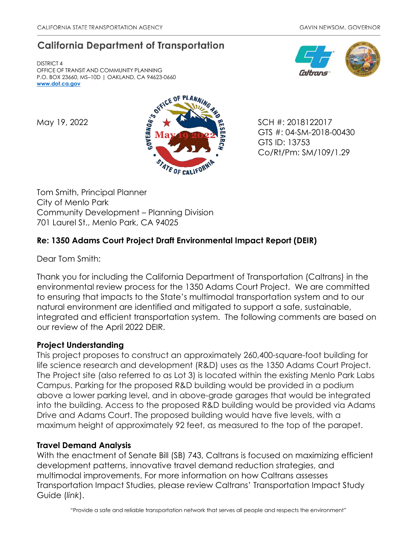# **California Department of Transportation**

DISTRICT 4 OFFICE OF TRANSIT AND COMMUNITY PLANNING P.O. BOX 23660, MS–10D | OAKLAND, CA 94623-0660 **[www.dot.ca.gov](http://www.dot.ca.gov/)**





GTS #: 04-SM-2018-00430 GTS ID: 13753 Co/Rt/Pm: SM/109/1.29

Tom Smith, Principal Planner City of Menlo Park Community Development – Planning Division 701 Laurel St., Menlo Park, CA 94025

## **Re: 1350 Adams Court Project Draft Environmental Impact Report (DEIR)**

Dear Tom Smith:

Thank you for including the California Department of Transportation (Caltrans) in the environmental review process for the 1350 Adams Court Project. We are committed to ensuring that impacts to the State's multimodal transportation system and to our natural environment are identified and mitigated to support a safe, sustainable, integrated and efficient transportation system. The following comments are based on our review of the April 2022 DEIR.

## **Project Understanding**

This project proposes to construct an approximately 260,400-square-foot building for life science research and development (R&D) uses as the 1350 Adams Court Project. The Project site (also referred to as Lot 3) is located within the existing Menlo Park Labs Campus. Parking for the proposed R&D building would be provided in a podium above a lower parking level, and in above-grade garages that would be integrated into the building. Access to the proposed R&D building would be provided via Adams Drive and Adams Court. The proposed building would have five levels, with a maximum height of approximately 92 feet, as measured to the top of the parapet.

## **Travel Demand Analysis**

With the enactment of Senate Bill (SB) 743, Caltrans is focused on maximizing efficient development patterns, innovative travel demand reduction strategies, and multimodal improvements. For more information on how Caltrans assesses Transportation Impact Studies, please review Caltrans' [Transportation Impact Study](https://dot.ca.gov/-/media/dot-media/programs/transportation-planning/documents/sb-743/2020-05-20-approved-vmt-focused-tisg-a11y.pdf)  [Guide \(](https://dot.ca.gov/-/media/dot-media/programs/transportation-planning/documents/sb-743/2020-05-20-approved-vmt-focused-tisg-a11y.pdf)*[link](https://dot.ca.gov/-/media/dot-media/programs/transportation-planning/documents/sb-743/2020-05-20-approved-vmt-focused-tisg-a11y.pdf)*[\).](https://dot.ca.gov/-/media/dot-media/programs/transportation-planning/documents/sb-743/2020-05-20-approved-vmt-focused-tisg-a11y.pdf)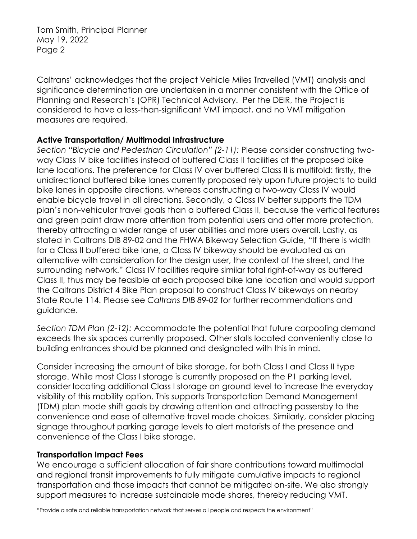Tom Smith, Principal Planner May 19, 2022 Page 2

Caltrans' acknowledges that the project Vehicle Miles Travelled (VMT) analysis and significance determination are undertaken in a manner consistent with the Office of Planning and Research's (OPR) Technical Advisory. Per the DEIR, the Project is considered to have a less-than-significant VMT impact, and no VMT mitigation measures are required.

#### **Active Transportation/ Multimodal Infrastructure**

*Section "Bicycle and Pedestrian Circulation" (2-11):* Please consider constructing twoway Class IV bike facilities instead of buffered Class II facilities at the proposed bike lane locations. The preference for Class IV over buffered Class II is multifold: firstly, the unidirectional buffered bike lanes currently proposed rely upon future projects to build bike lanes in opposite directions, whereas constructing a two-way Class IV would enable bicycle travel in all directions. Secondly, a Class IV better supports the TDM plan's non-vehicular travel goals than a buffered Class II, because the vertical features and green paint draw more attention from potential users and offer more protection, thereby attracting a wider range of user abilities and more users overall. Lastly, as stated in Caltrans DIB 89-02 and the FHWA Bikeway Selection Guide, "If there is width for a Class II buffered bike lane, a Class IV bikeway should be evaluated as an alternative with consideration for the design user, the context of the street, and the surrounding network." Class IV facilities require similar total right-of-way as buffered Class II, thus may be feasible at each proposed bike lane location and would support the Caltrans District 4 Bike Plan proposal to construct Class IV bikeways on nearby State Route 114. Please see *[Caltrans DIB 89-02](https://dot.ca.gov/-/media/dot-media/programs/design/documents/dib-89-02-final-a11y.pdf)* for further recommendations and guidance.

*Section TDM Plan (2-12):* Accommodate the potential that future carpooling demand exceeds the six spaces currently proposed. Other stalls located conveniently close to building entrances should be planned and designated with this in mind.

Consider increasing the amount of bike storage, for both Class I and Class II type storage. While most Class I storage is currently proposed on the P1 parking level, consider locating additional Class I storage on ground level to increase the everyday visibility of this mobility option. This supports Transportation Demand Management (TDM) plan mode shift goals by drawing attention and attracting passersby to the convenience and ease of alternative travel mode choices. Similarly, consider placing signage throughout parking garage levels to alert motorists of the presence and convenience of the Class I bike storage.

#### **Transportation Impact Fees**

We encourage a sufficient allocation of fair share contributions toward multimodal and regional transit improvements to fully mitigate cumulative impacts to regional transportation and those impacts that cannot be mitigated on-site. We also strongly support measures to increase sustainable mode shares, thereby reducing VMT.